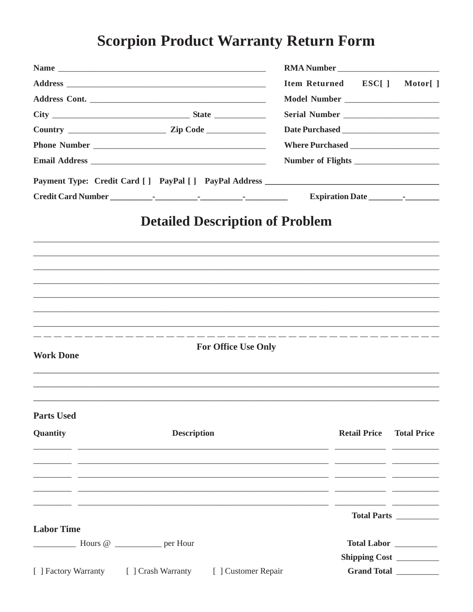## **Scorpion Product Warranty Return Form**

|                                         |                                                                                                                       | Item Returned ESC[]   | Motor[]            |
|-----------------------------------------|-----------------------------------------------------------------------------------------------------------------------|-----------------------|--------------------|
|                                         |                                                                                                                       |                       |                    |
|                                         |                                                                                                                       |                       |                    |
|                                         |                                                                                                                       |                       |                    |
|                                         |                                                                                                                       |                       |                    |
|                                         |                                                                                                                       |                       |                    |
|                                         | Payment Type: Credit Card [] PayPal [] PayPal Address ___________________________                                     |                       |                    |
|                                         | <b>Detailed Description of Problem</b>                                                                                |                       |                    |
|                                         |                                                                                                                       |                       |                    |
|                                         |                                                                                                                       |                       |                    |
|                                         |                                                                                                                       |                       |                    |
|                                         |                                                                                                                       |                       |                    |
|                                         |                                                                                                                       |                       |                    |
|                                         |                                                                                                                       |                       |                    |
| <b>Work Done</b>                        | <b>For Office Use Only</b>                                                                                            |                       |                    |
|                                         |                                                                                                                       |                       |                    |
| <b>Parts Used</b>                       |                                                                                                                       |                       |                    |
| Quantity                                | <b>Description</b>                                                                                                    | <b>Retail Price</b>   | <b>Total Price</b> |
|                                         | <u> 1989 - Johann Barn, mars ar breithinn ar chwaraeth a chwaraeth a chwaraeth a chwaraeth a chwaraeth a chwaraet</u> |                       |                    |
|                                         |                                                                                                                       |                       |                    |
| <b>Labor Time</b>                       |                                                                                                                       |                       |                    |
| Hours @ __________ per Hour             |                                                                                                                       | Total Labor _________ |                    |
|                                         |                                                                                                                       | Shipping Cost         |                    |
| [ ] Factory Warranty [ ] Crash Warranty | [ ] Customer Repair                                                                                                   | Grand Total           |                    |